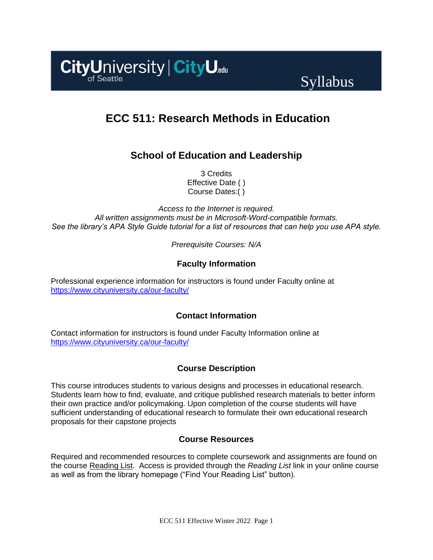

# Syllabus

## **ECC 511: Research Methods in Education**

## **School of Education and Leadership**

3 Credits Effective Date ( ) Course Dates:( )

*Access to the Internet is required. All written assignments must be in Microsoft-Word-compatible formats. See the library's APA Style Guide tutorial for a list of resources that can help you use APA style.*

*Prerequisite Courses: N/A*

## **Faculty Information**

Professional experience information for instructors is found under Faculty online at <https://www.cityuniversity.ca/our-faculty/>

## **Contact Information**

Contact information for instructors is found under Faculty Information online at <https://www.cityuniversity.ca/our-faculty/>

## **Course Description**

This course introduces students to various designs and processes in educational research. Students learn how to find, evaluate, and critique published research materials to better inform their own practice and/or policymaking. Upon completion of the course students will have sufficient understanding of educational research to formulate their own educational research proposals for their capstone projects

## **Course Resources**

Required and recommended resources to complete coursework and assignments are found on the course [Reading List.](https://cityu.alma.exlibrisgroup.com/leganto/login?auth=SAML) Access is provided through the *Reading List* link in your online course as well as from the library homepage ("Find Your Reading List" button).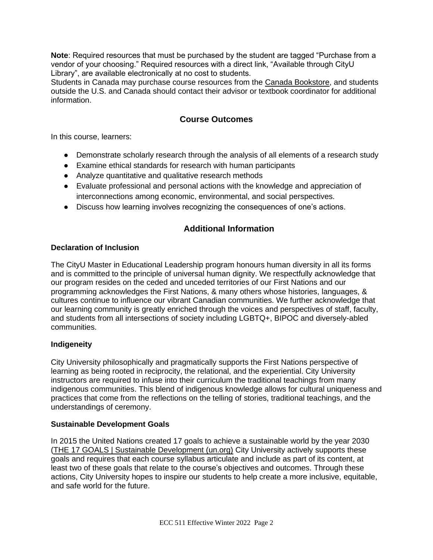**Note**: Required resources that must be purchased by the student are tagged "Purchase from a vendor of your choosing." Required resources with a direct link, "Available through CityU Library", are available electronically at no cost to students.

Students in Canada may purchase course resources from the [Canada Bookstore,](https://www.cityubookstore.ca/index.asp) and students outside the U.S. and Canada should contact their advisor or textbook coordinator for additional information.

## **Course Outcomes**

In this course, learners:

- Demonstrate scholarly research through the analysis of all elements of a research study
- Examine ethical standards for research with human participants
- Analyze quantitative and qualitative research methods
- Evaluate professional and personal actions with the knowledge and appreciation of interconnections among economic, environmental, and social perspectives.
- Discuss how learning involves recognizing the consequences of one's actions.

## **Additional Information**

#### **Declaration of Inclusion**

The CityU Master in Educational Leadership program honours human diversity in all its forms and is committed to the principle of universal human dignity. We respectfully acknowledge that our program resides on the ceded and unceded territories of our First Nations and our programming acknowledges the First Nations, & many others whose histories, languages, & cultures continue to influence our vibrant Canadian communities. We further acknowledge that our learning community is greatly enriched through the voices and perspectives of staff, faculty, and students from all intersections of society including LGBTQ+, BIPOC and diversely-abled communities.

#### **Indigeneity**

City University philosophically and pragmatically supports the First Nations perspective of learning as being rooted in reciprocity, the relational, and the experiential. City University instructors are required to infuse into their curriculum the traditional teachings from many indigenous communities. This blend of indigenous knowledge allows for cultural uniqueness and practices that come from the reflections on the telling of stories, traditional teachings, and the understandings of ceremony.

#### **Sustainable Development Goals**

In 2015 the United Nations created 17 goals to achieve a sustainable world by the year 2030 [\(THE 17 GOALS | Sustainable Development \(un.org\)](https://sdgs.un.org/goals) City University actively supports these goals and requires that each course syllabus articulate and include as part of its content, at least two of these goals that relate to the course's objectives and outcomes. Through these actions, City University hopes to inspire our students to help create a more inclusive, equitable, and safe world for the future.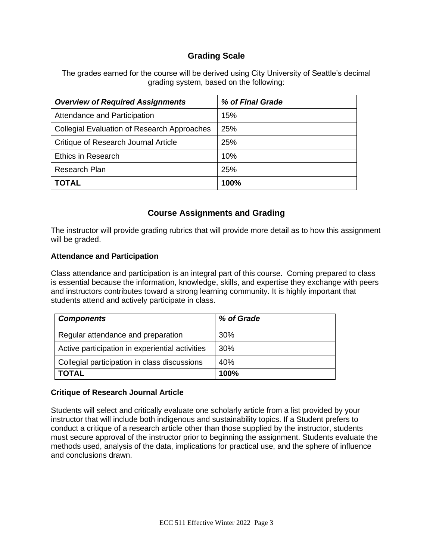## **Grading Scale**

The grades earned for the course will be derived using City University of Seattle's decimal grading system, based on the following:

| <b>Overview of Required Assignments</b>            | % of Final Grade |
|----------------------------------------------------|------------------|
| Attendance and Participation                       | 15%              |
| <b>Collegial Evaluation of Research Approaches</b> | 25%              |
| Critique of Research Journal Article               | 25%              |
| <b>Ethics in Research</b>                          | 10%              |
| Research Plan                                      | 25%              |
| <b>TOTAL</b>                                       | 100%             |

## **Course Assignments and Grading**

The instructor will provide grading rubrics that will provide more detail as to how this assignment will be graded.

#### **Attendance and Participation**

Class attendance and participation is an integral part of this course. Coming prepared to class is essential because the information, knowledge, skills, and expertise they exchange with peers and instructors contributes toward a strong learning community. It is highly important that students attend and actively participate in class.

| <b>Components</b>                               | % of Grade |
|-------------------------------------------------|------------|
| Regular attendance and preparation              | 30%        |
| Active participation in experiential activities | 30%        |
| Collegial participation in class discussions    | 40%        |
| <b>TOTAL</b>                                    | 100%       |

#### **Critique of Research Journal Article**

Students will select and critically evaluate one scholarly article from a list provided by your instructor that will include both indigenous and sustainability topics. If a Student prefers to conduct a critique of a research article other than those supplied by the instructor, students must secure approval of the instructor prior to beginning the assignment. Students evaluate the methods used, analysis of the data, implications for practical use, and the sphere of influence and conclusions drawn.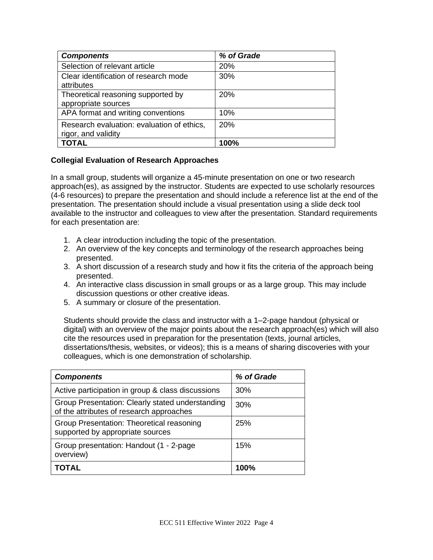| <b>Components</b>                          | % of Grade |
|--------------------------------------------|------------|
| Selection of relevant article              | 20%        |
| Clear identification of research mode      | 30%        |
| attributes                                 |            |
| Theoretical reasoning supported by         | <b>20%</b> |
| appropriate sources                        |            |
| APA format and writing conventions         | 10%        |
| Research evaluation: evaluation of ethics, | 20%        |
| rigor, and validity                        |            |
| <b>TOTAL</b>                               | 100%       |

#### **Collegial Evaluation of Research Approaches**

In a small group, students will organize a 45-minute presentation on one or two research approach(es), as assigned by the instructor. Students are expected to use scholarly resources (4-6 resources) to prepare the presentation and should include a reference list at the end of the presentation. The presentation should include a visual presentation using a slide deck tool available to the instructor and colleagues to view after the presentation. Standard requirements for each presentation are:

- 1. A clear introduction including the topic of the presentation.
- 2. An overview of the key concepts and terminology of the research approaches being presented.
- 3. A short discussion of a research study and how it fits the criteria of the approach being presented.
- 4. An interactive class discussion in small groups or as a large group. This may include discussion questions or other creative ideas.
- 5. A summary or closure of the presentation.

Students should provide the class and instructor with a 1–2-page handout (physical or digital) with an overview of the major points about the research approach(es) which will also cite the resources used in preparation for the presentation (texts, journal articles, dissertations/thesis, websites, or videos); this is a means of sharing discoveries with your colleagues, which is one demonstration of scholarship.

| <b>Components</b>                                                                            | % of Grade |
|----------------------------------------------------------------------------------------------|------------|
| Active participation in group & class discussions                                            | 30%        |
| Group Presentation: Clearly stated understanding<br>of the attributes of research approaches | 30%        |
| Group Presentation: Theoretical reasoning<br>supported by appropriate sources                | 25%        |
| Group presentation: Handout (1 - 2-page)<br>overview)                                        | 15%        |
| TOTAL                                                                                        | 100%       |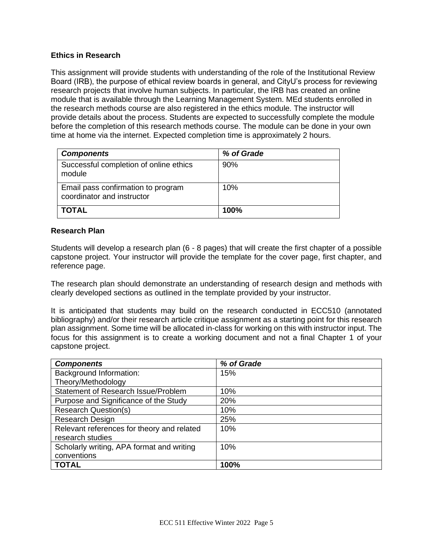#### **Ethics in Research**

This assignment will provide students with understanding of the role of the Institutional Review Board (IRB), the purpose of ethical review boards in general, and CityU's process for reviewing research projects that involve human subjects. In particular, the IRB has created an online module that is available through the Learning Management System. MEd students enrolled in the research methods course are also registered in the ethics module. The instructor will provide details about the process. Students are expected to successfully complete the module before the completion of this research methods course. The module can be done in your own time at home via the internet. Expected completion time is approximately 2 hours.

| <b>Components</b>                                                | % of Grade |
|------------------------------------------------------------------|------------|
| Successful completion of online ethics<br>module                 | 90%        |
| Email pass confirmation to program<br>coordinator and instructor | 10%        |
| <b>TOTAL</b>                                                     | 100%       |

#### **Research Plan**

Students will develop a research plan (6 - 8 pages) that will create the first chapter of a possible capstone project. Your instructor will provide the template for the cover page, first chapter, and reference page.

The research plan should demonstrate an understanding of research design and methods with clearly developed sections as outlined in the template provided by your instructor.

It is anticipated that students may build on the research conducted in ECC510 (annotated bibliography) and/or their research article critique assignment as a starting point for this research plan assignment. Some time will be allocated in-class for working on this with instructor input. The focus for this assignment is to create a working document and not a final Chapter 1 of your capstone project.

| <b>Components</b>                          | % of Grade |
|--------------------------------------------|------------|
| <b>Background Information:</b>             | 15%        |
| Theory/Methodology                         |            |
| Statement of Research Issue/Problem        | 10%        |
| Purpose and Significance of the Study      | 20%        |
| <b>Research Question(s)</b>                | 10%        |
| Research Design                            | 25%        |
| Relevant references for theory and related | 10%        |
| research studies                           |            |
| Scholarly writing, APA format and writing  | 10%        |
| conventions                                |            |
| <b>TOTAL</b>                               | 100%       |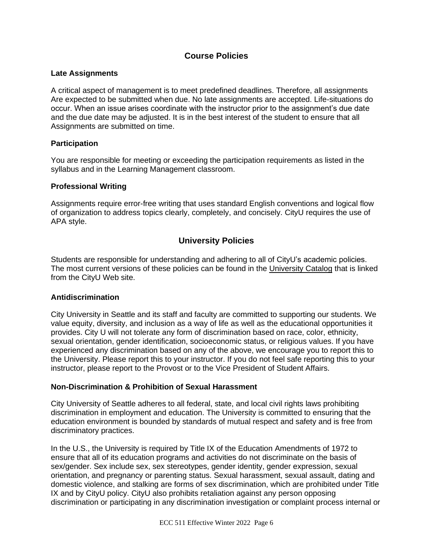## **Course Policies**

#### **Late Assignments**

A critical aspect of management is to meet predefined deadlines. Therefore, all assignments Are expected to be submitted when due. No late assignments are accepted. Life-situations do occur. When an issue arises coordinate with the instructor prior to the assignment's due date and the due date may be adjusted. It is in the best interest of the student to ensure that all Assignments are submitted on time.

#### **Participation**

You are responsible for meeting or exceeding the participation requirements as listed in the syllabus and in the Learning Management classroom.

#### **Professional Writing**

Assignments require error-free writing that uses standard English conventions and logical flow of organization to address topics clearly, completely, and concisely. CityU requires the use of APA style.

## **University Policies**

Students are responsible for understanding and adhering to all of CityU's academic policies. The most current versions of these policies can be found in the [University Catalog](http://www.cityu.edu/catalog/) that is linked from the CityU Web site.

#### **Antidiscrimination**

City University in Seattle and its staff and faculty are committed to supporting our students. We value equity, diversity, and inclusion as a way of life as well as the educational opportunities it provides. City U will not tolerate any form of discrimination based on race, color, ethnicity, sexual orientation, gender identification, socioeconomic status, or religious values. If you have experienced any discrimination based on any of the above, we encourage you to report this to the University. Please report this to your instructor. If you do not feel safe reporting this to your instructor, please report to the Provost or to the Vice President of Student Affairs.

#### **Non-Discrimination & Prohibition of Sexual Harassment**

City University of Seattle adheres to all federal, state, and local civil rights laws prohibiting discrimination in employment and education. The University is committed to ensuring that the education environment is bounded by standards of mutual respect and safety and is free from discriminatory practices.

In the U.S., the University is required by Title IX of the Education Amendments of 1972 to ensure that all of its education programs and activities do not discriminate on the basis of sex/gender. Sex include sex, sex stereotypes, gender identity, gender expression, sexual orientation, and pregnancy or parenting status. Sexual harassment, sexual assault, dating and domestic violence, and stalking are forms of sex discrimination, which are prohibited under Title IX and by CityU policy. CityU also prohibits retaliation against any person opposing discrimination or participating in any discrimination investigation or complaint process internal or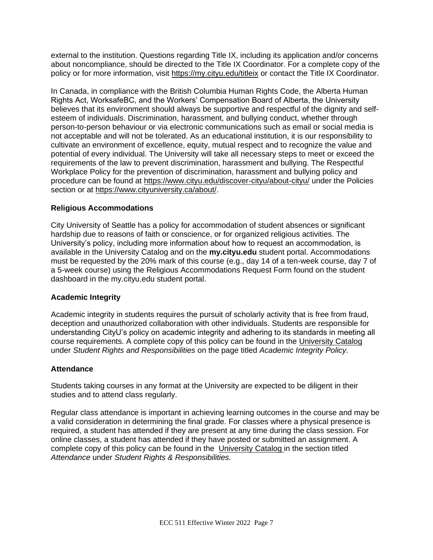external to the institution. Questions regarding Title IX, including its application and/or concerns about noncompliance, should be directed to the Title IX Coordinator. For a complete copy of the policy or for more information, visit<https://my.cityu.edu/titleix> or contact the Title IX Coordinator.

In Canada, in compliance with the British Columbia Human Rights Code, the Alberta Human Rights Act, WorksafeBC, and the Workers' Compensation Board of Alberta, the University believes that its environment should always be supportive and respectful of the dignity and selfesteem of individuals. Discrimination, harassment, and bullying conduct, whether through person-to-person behaviour or via electronic communications such as email or social media is not acceptable and will not be tolerated. As an educational institution, it is our responsibility to cultivate an environment of excellence, equity, mutual respect and to recognize the value and potential of every individual. The University will take all necessary steps to meet or exceed the requirements of the law to prevent discrimination, harassment and bullying. The Respectful Workplace Policy for the prevention of discrimination, harassment and bullying policy and procedure can be found at<https://www.cityu.edu/discover-cityu/about-cityu/> under the Policies section or at [https://www.cityuniversity.ca/about/.](https://www.cityuniversity.ca/about/)

#### **Religious Accommodations**

City University of Seattle has a policy for accommodation of student absences or significant hardship due to reasons of faith or conscience, or for organized religious activities. The University's policy, including more information about how to request an accommodation, is available in the University Catalog and on the **my.cityu.edu** student portal. Accommodations must be requested by the 20% mark of this course (e.g., day 14 of a ten-week course, day 7 of a 5-week course) using the Religious Accommodations Request Form found on the student dashboard in the my.cityu.edu student portal.

#### **Academic Integrity**

Academic integrity in students requires the pursuit of scholarly activity that is free from fraud, deception and unauthorized collaboration with other individuals. Students are responsible for understanding CityU's policy on academic integrity and adhering to its standards in meeting all course requirements. A complete copy of this policy can be found in the [University Catalog](http://www.cityu.edu/catalog/) under *Student Rights and Responsibilities* on the page titled *Academic Integrity Policy.* 

#### **Attendance**

Students taking courses in any format at the University are expected to be diligent in their studies and to attend class regularly.

Regular class attendance is important in achieving learning outcomes in the course and may be a valid consideration in determining the final grade. For classes where a physical presence is required, a student has attended if they are present at any time during the class session. For online classes, a student has attended if they have posted or submitted an assignment. A complete copy of this policy can be found in the [University Catalog](http://www.cityu.edu/catalog/) in the section titled *Attendance* under *Student Rights & Responsibilities.*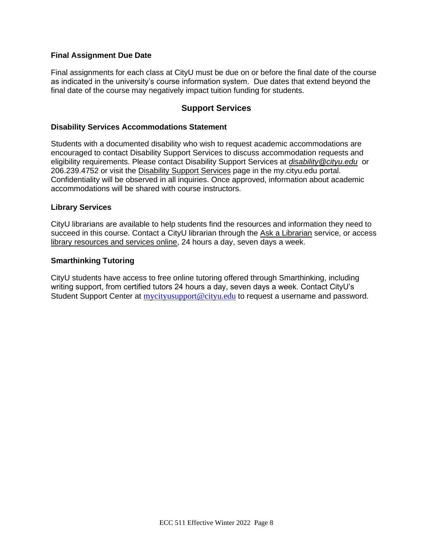#### **Final Assignment Due Date**

Final assignments for each class at CityU must be due on or before the final date of the course as indicated in the university's course information system. Due dates that extend beyond the final date of the course may negatively impact tuition funding for students.

## **Support Services**

#### **Disability Services Accommodations Statement**

Students with a documented disability who wish to request academic accommodations are encouraged to contact Disability Support Services to discuss accommodation requests and eligibility requirements. Please contact Disability Support Services at *[disability@cityu.edu](mailto:disability@cityu.edu)* or 206.239.4752 or visit the [Disability Support Services](https://my.cityu.edu/department/disability-support-services/) page in the my.cityu.edu portal. Confidentiality will be observed in all inquiries. Once approved, information about academic accommodations will be shared with course instructors.

#### **Library Services**

CityU librarians are available to help students find the resources and information they need to succeed in this course. Contact a CityU librarian through the [Ask a Librarian](http://library.cityu.edu/ask-a-librarian/) service, or access [library resources and services online,](http://library.cityu.edu/) 24 hours a day, seven days a week.

#### **Smarthinking Tutoring**

CityU students have access to free online tutoring offered through Smarthinking, including writing support, from certified tutors 24 hours a day, seven days a week. Contact CityU's Student Support Center at [mycityusupport@cityu.edu](mailto:mycityusupport@cityu.edu) to request a username and password.